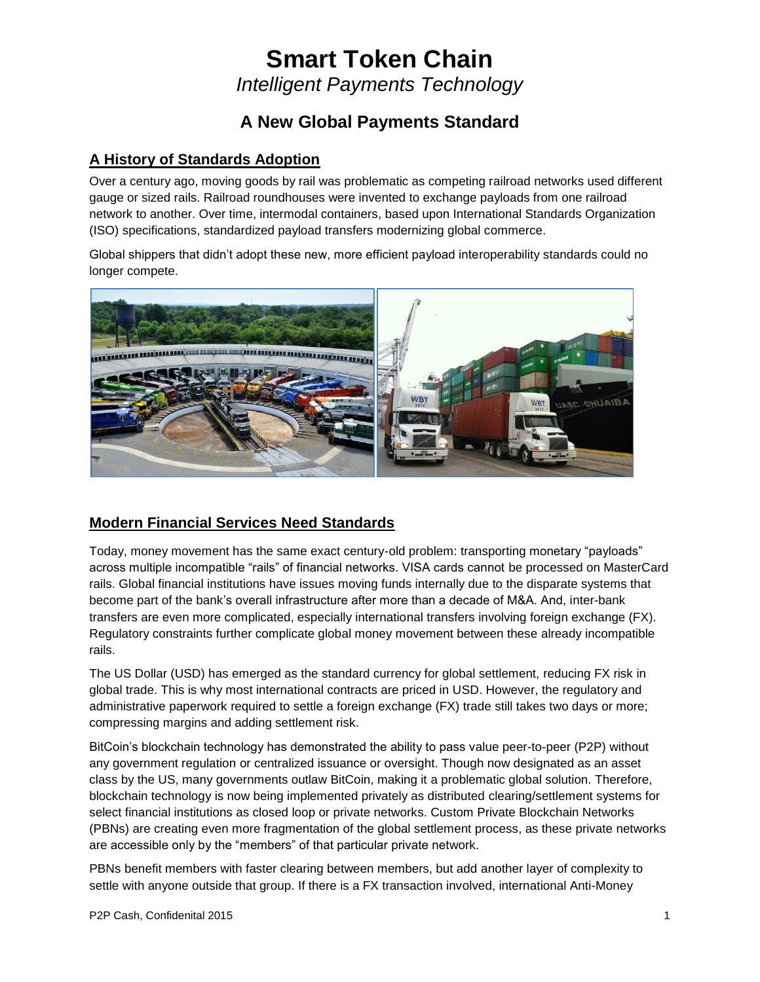## **Smart Token Chain** *Intelligent Payments Technology*

### **A New Global Payments Standard**

### **A History of Standards Adoption**

Over a century ago, moving goods by rail was problematic as competing railroad networks used different gauge or sized rails. Railroad roundhouses were invented to exchange payloads from one railroad network to another. Over time, intermodal containers, based upon International Standards Organization (ISO) specifications, standardized payload transfers modernizing global commerce.

Global shippers that didn't adopt these new, more efficient payload interoperability standards could no longer compete.



### **Modern Financial Services Need Standards**

Today, money movement has the same exact century-old problem: transporting monetary "payloads" across multiple incompatible "rails" of financial networks. VISA cards cannot be processed on MasterCard rails. Global financial institutions have issues moving funds internally due to the disparate systems that become part of the bank's overall infrastructure after more than a decade of M&A. And, inter-bank transfers are even more complicated, especially international transfers involving foreign exchange (FX). Regulatory constraints further complicate global money movement between these already incompatible rails.

The US Dollar (USD) has emerged as the standard currency for global settlement, reducing FX risk in global trade. This is why most international contracts are priced in USD. However, the regulatory and administrative paperwork required to settle a foreign exchange (FX) trade still takes two days or more; compressing margins and adding settlement risk.

BitCoin's blockchain technology has demonstrated the ability to pass value peer-to-peer (P2P) without any government regulation or centralized issuance or oversight. Though now designated as an asset class by the US, many governments outlaw BitCoin, making it a problematic global solution. Therefore, blockchain technology is now being implemented privately as distributed clearing/settlement systems for select financial institutions as closed loop or private networks. Custom Private Blockchain Networks (PBNs) are creating even more fragmentation of the global settlement process, as these private networks are accessible only by the "members" of that particular private network.

PBNs benefit members with faster clearing between members, but add another layer of complexity to settle with anyone outside that group. If there is a FX transaction involved, international Anti-Money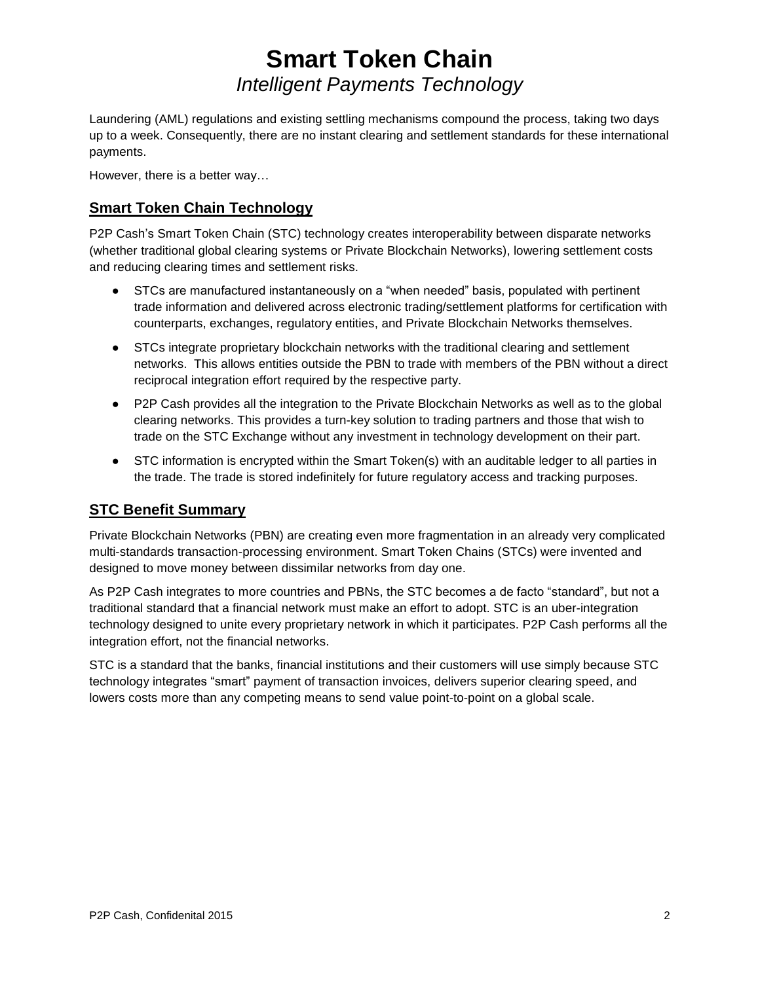## **Smart Token Chain** *Intelligent Payments Technology*

Laundering (AML) regulations and existing settling mechanisms compound the process, taking two days up to a week. Consequently, there are no instant clearing and settlement standards for these international payments.

However, there is a better way…

### **Smart Token Chain Technology**

P2P Cash's Smart Token Chain (STC) technology creates interoperability between disparate networks (whether traditional global clearing systems or Private Blockchain Networks), lowering settlement costs and reducing clearing times and settlement risks.

- STCs are manufactured instantaneously on a "when needed" basis, populated with pertinent trade information and delivered across electronic trading/settlement platforms for certification with counterparts, exchanges, regulatory entities, and Private Blockchain Networks themselves.
- STCs integrate proprietary blockchain networks with the traditional clearing and settlement networks. This allows entities outside the PBN to trade with members of the PBN without a direct reciprocal integration effort required by the respective party.
- P2P Cash provides all the integration to the Private Blockchain Networks as well as to the global clearing networks. This provides a turn-key solution to trading partners and those that wish to trade on the STC Exchange without any investment in technology development on their part.
- STC information is encrypted within the Smart Token(s) with an auditable ledger to all parties in the trade. The trade is stored indefinitely for future regulatory access and tracking purposes.

### **STC Benefit Summary**

Private Blockchain Networks (PBN) are creating even more fragmentation in an already very complicated multi-standards transaction-processing environment. Smart Token Chains (STCs) were invented and designed to move money between dissimilar networks from day one.

As P2P Cash integrates to more countries and PBNs, the STC becomes a de facto "standard", but not a traditional standard that a financial network must make an effort to adopt. STC is an uber-integration technology designed to unite every proprietary network in which it participates. P2P Cash performs all the integration effort, not the financial networks.

STC is a standard that the banks, financial institutions and their customers will use simply because STC technology integrates "smart" payment of transaction invoices, delivers superior clearing speed, and lowers costs more than any competing means to send value point-to-point on a global scale.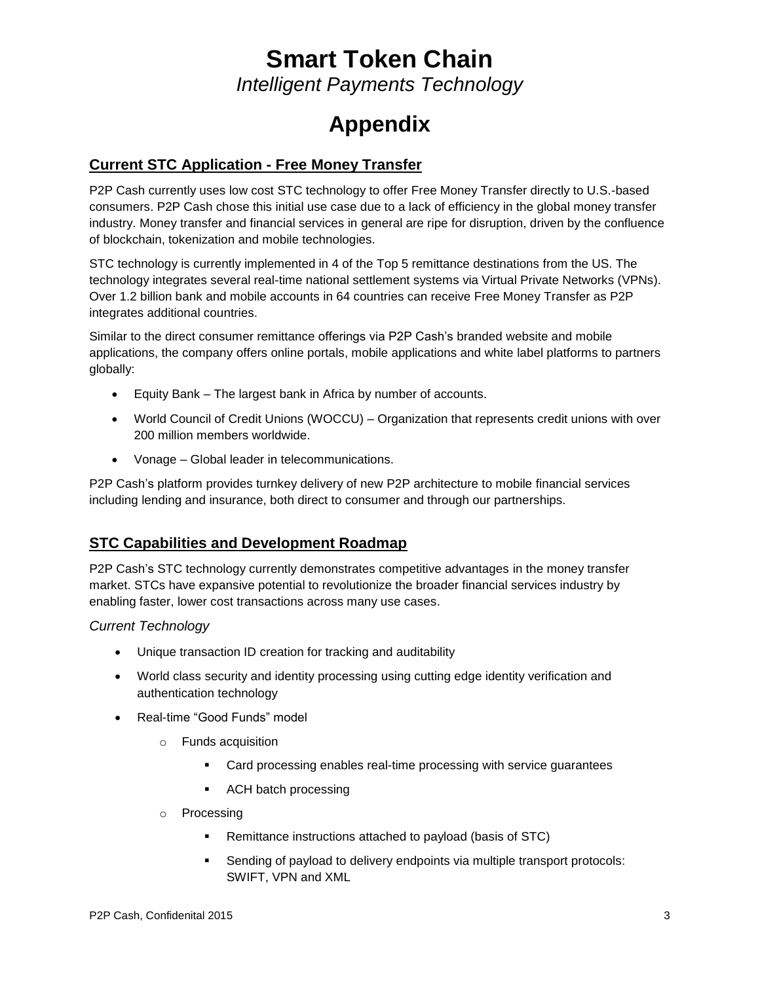# **Smart Token Chain**

*Intelligent Payments Technology*

# **Appendix**

#### **Current STC Application - Free Money Transfer**

P2P Cash currently uses low cost STC technology to offer Free Money Transfer directly to U.S.-based consumers. P2P Cash chose this initial use case due to a lack of efficiency in the global money transfer industry. Money transfer and financial services in general are ripe for disruption, driven by the confluence of blockchain, tokenization and mobile technologies.

STC technology is currently implemented in 4 of the Top 5 remittance destinations from the US. The technology integrates several real-time national settlement systems via Virtual Private Networks (VPNs). Over 1.2 billion bank and mobile accounts in 64 countries can receive Free Money Transfer as P2P integrates additional countries.

Similar to the direct consumer remittance offerings via P2P Cash's branded website and mobile applications, the company offers online portals, mobile applications and white label platforms to partners globally:

- Equity Bank The largest bank in Africa by number of accounts.
- World Council of Credit Unions (WOCCU) Organization that represents credit unions with over 200 million members worldwide.
- Vonage Global leader in telecommunications.

P2P Cash's platform provides turnkey delivery of new P2P architecture to mobile financial services including lending and insurance, both direct to consumer and through our partnerships.

#### **STC Capabilities and Development Roadmap**

P2P Cash's STC technology currently demonstrates competitive advantages in the money transfer market. STCs have expansive potential to revolutionize the broader financial services industry by enabling faster, lower cost transactions across many use cases.

#### *Current Technology*

- Unique transaction ID creation for tracking and auditability
- World class security and identity processing using cutting edge identity verification and authentication technology
- Real-time "Good Funds" model
	- o Funds acquisition
		- Card processing enables real-time processing with service guarantees
		- ACH batch processing
	- o Processing
		- Remittance instructions attached to payload (basis of STC)
		- Sending of payload to delivery endpoints via multiple transport protocols: SWIFT, VPN and XML